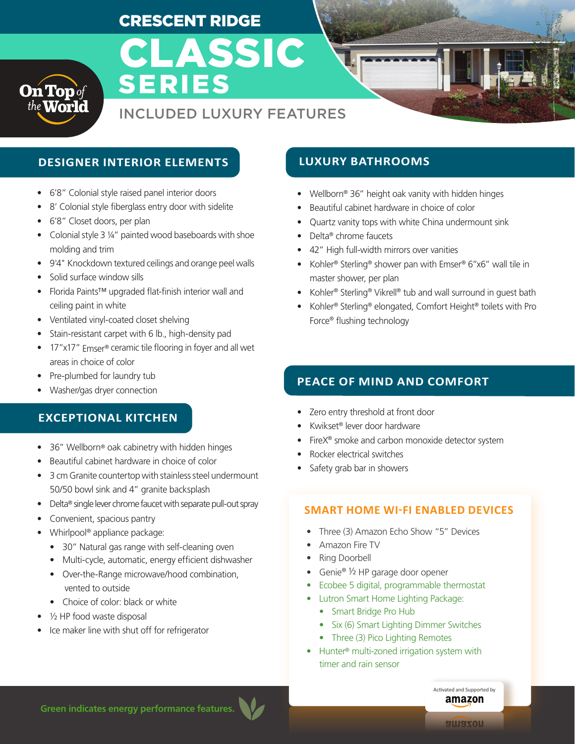# CRESCENT RIDGE



# INCLUDED LUXURY FEATURES

CLASSIC

# **DESIGNER INTERIOR ELEMENTS LUXURY BATHROOMS**

- 6'8" Colonial style raised panel interior doors
- 8' Colonial style fiberglass entry door with sidelite
- 6'8" Closet doors, per plan
- Colonial style 3 1/4" painted wood baseboards with shoe molding and trim
- 9'4" Knockdown textured ceilings and orange peel walls
- Solid surface window sills
- Florida Paints™ upgraded flat-finish interior wall and ceiling paint in white
- Ventilated vinyl-coated closet shelving
- Stain-resistant carpet with 6 lb., high-density pad
- 17"x17" Emser® ceramic tile flooring in foyer and all wet areas in choice of color
- Pre-plumbed for laundry tub
- Washer/gas dryer connection

## **EXCEPTIONAL KITCHEN**

- 36" Wellborn® oak cabinetry with hidden hinges
- Beautiful cabinet hardware in choice of color
- 3 cm Granite countertop with stainless steel undermount 50/50 bowl sink and 4" granite backsplash
- Delta<sup>®</sup> single lever chrome faucet with separate pull-out spray
- Convenient, spacious pantry
- Whirlpool® appliance package:
	- 30" Natural gas range with self-cleaning oven
	- Multi-cycle, automatic, energy efficient dishwasher
	- Over-the-Range microwave/hood combination, vented to outside
	- Choice of color: black or white
- 1/2 HP food waste disposal
- Ice maker line with shut off for refrigerator

- Wellborn® 36" height oak vanity with hidden hinges
- Beautiful cabinet hardware in choice of color
- Quartz vanity tops with white China undermount sink
- Delta® chrome faucets
- 42" High full-width mirrors over vanities
- Kohler<sup>®</sup> Sterling<sup>®</sup> shower pan with Emser® 6"x6" wall tile in master shower, per plan
- Kohler® Sterling® Vikrell® tub and wall surround in guest bath
- Kohler® Sterling® elongated, Comfort Height® toilets with Pro Force® flushing technology

## **PEACE OF MIND AND COMFORT**

- Zero entry threshold at front door
- Kwikset® lever door hardware
- FireX<sup>®</sup> smoke and carbon monoxide detector system
- Rocker electrical switches
- Safety grab bar in showers

#### **SMART HOME WI-FI ENABLED DEVICES**

- Three (3) Amazon Echo Show "5" Devices
- Amazon Fire TV
- Ring Doorbell
- Genie® ½ HP garage door opener
- Ecobee 5 digital, programmable thermostat
- Lutron Smart Home Lighting Package:
	- Smart Bridge Pro Hub
	- Six (6) Smart Lighting Dimmer Switches
	- Three (3) Pico Lighting Remotes
- Hunter® multi-zoned irrigation system with timer and rain sensor

**Green indicates energy performance features.**

Activated and Supported by amazon